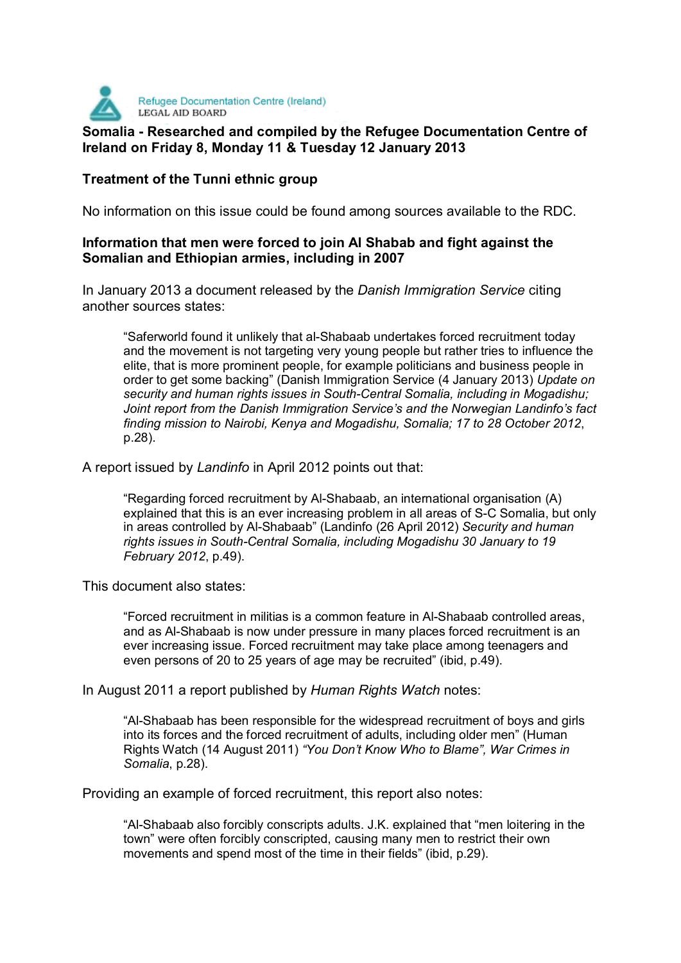

## **Somalia - Researched and compiled by the Refugee Documentation Centre of Ireland on Friday 8, Monday 11 & Tuesday 12 January 2013**

## **Treatment of the Tunni ethnic group**

No information on this issue could be found among sources available to the RDC.

## **Information that men were forced to join Al Shabab and fight against the Somalian and Ethiopian armies, including in 2007**

In January 2013 a document released by the *Danish Immigration Service* citing another sources states:

"Saferworld found it unlikely that al-Shabaab undertakes forced recruitment today and the movement is not targeting very young people but rather tries to influence the elite, that is more prominent people, for example politicians and business people in order to get some backing" (Danish Immigration Service (4 January 2013) *Update on security and human rights issues in South-Central Somalia, including in Mogadishu; Joint report from the Danish Immigration Service's and the Norwegian Landinfo's fact finding mission to Nairobi, Kenya and Mogadishu, Somalia; 17 to 28 October 2012*, p.28).

A report issued by *Landinfo* in April 2012 points out that:

"Regarding forced recruitment by Al-Shabaab, an international organisation (A) explained that this is an ever increasing problem in all areas of S-C Somalia, but only in areas controlled by Al-Shabaab" (Landinfo (26 April 2012) *Security and human rights issues in South-Central Somalia, including Mogadishu 30 January to 19 February 2012*, p.49).

This document also states:

"Forced recruitment in militias is a common feature in Al-Shabaab controlled areas, and as Al-Shabaab is now under pressure in many places forced recruitment is an ever increasing issue. Forced recruitment may take place among teenagers and even persons of 20 to 25 years of age may be recruited" (ibid, p.49).

In August 2011 a report published by *Human Rights Watch* notes:

"Al-Shabaab has been responsible for the widespread recruitment of boys and girls into its forces and the forced recruitment of adults, including older men" (Human Rights Watch (14 August 2011) *"You Don't Know Who to Blame", War Crimes in Somalia*, p.28).

Providing an example of forced recruitment, this report also notes:

"Al-Shabaab also forcibly conscripts adults. J.K. explained that "men loitering in the town" were often forcibly conscripted, causing many men to restrict their own movements and spend most of the time in their fields" (ibid, p.29).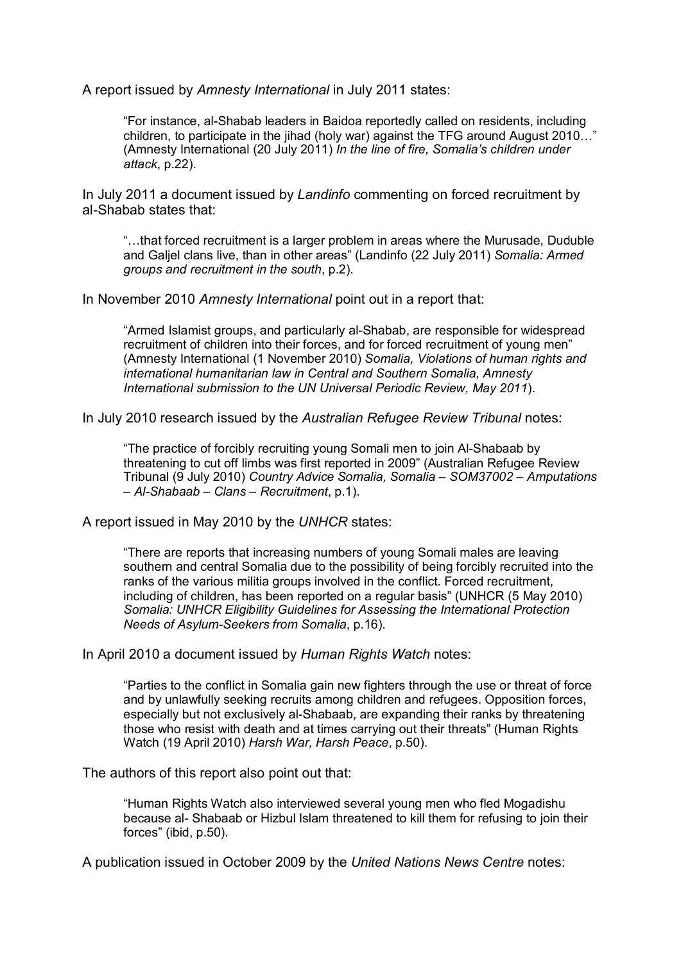A report issued by *Amnesty International* in July 2011 states:

"For instance, al-Shabab leaders in Baidoa reportedly called on residents, including children, to participate in the jihad (holy war) against the TFG around August 2010…" (Amnesty International (20 July 2011) *In the line of fire, Somalia's children under attack*, p.22).

In July 2011 a document issued by *Landinfo* commenting on forced recruitment by al-Shabab states that:

"…that forced recruitment is a larger problem in areas where the Murusade, Duduble and Galjel clans live, than in other areas" (Landinfo (22 July 2011) *Somalia: Armed groups and recruitment in the south*, p.2).

In November 2010 *Amnesty International* point out in a report that:

"Armed Islamist groups, and particularly al-Shabab, are responsible for widespread recruitment of children into their forces, and for forced recruitment of young men" (Amnesty International (1 November 2010) *Somalia, Violations of human rights and international humanitarian law in Central and Southern Somalia, Amnesty International submission to the UN Universal Periodic Review, May 2011*).

In July 2010 research issued by the *Australian Refugee Review Tribunal* notes:

"The practice of forcibly recruiting young Somali men to join Al-Shabaab by threatening to cut off limbs was first reported in 2009" (Australian Refugee Review Tribunal (9 July 2010) *Country Advice Somalia, Somalia – SOM37002 – Amputations – Al-Shabaab – Clans – Recruitment*, p.1).

A report issued in May 2010 by the *UNHCR* states:

"There are reports that increasing numbers of young Somali males are leaving southern and central Somalia due to the possibility of being forcibly recruited into the ranks of the various militia groups involved in the conflict. Forced recruitment, including of children, has been reported on a regular basis" (UNHCR (5 May 2010) *Somalia: UNHCR Eligibility Guidelines for Assessing the International Protection Needs of Asylum-Seekers from Somalia*, p.16).

In April 2010 a document issued by *Human Rights Watch* notes:

"Parties to the conflict in Somalia gain new fighters through the use or threat of force and by unlawfully seeking recruits among children and refugees. Opposition forces, especially but not exclusively al-Shabaab, are expanding their ranks by threatening those who resist with death and at times carrying out their threats" (Human Rights Watch (19 April 2010) *Harsh War, Harsh Peace*, p.50).

The authors of this report also point out that:

"Human Rights Watch also interviewed several young men who fled Mogadishu because al- Shabaab or Hizbul Islam threatened to kill them for refusing to join their forces" (ibid, p.50).

A publication issued in October 2009 by the *United Nations News Centre* notes: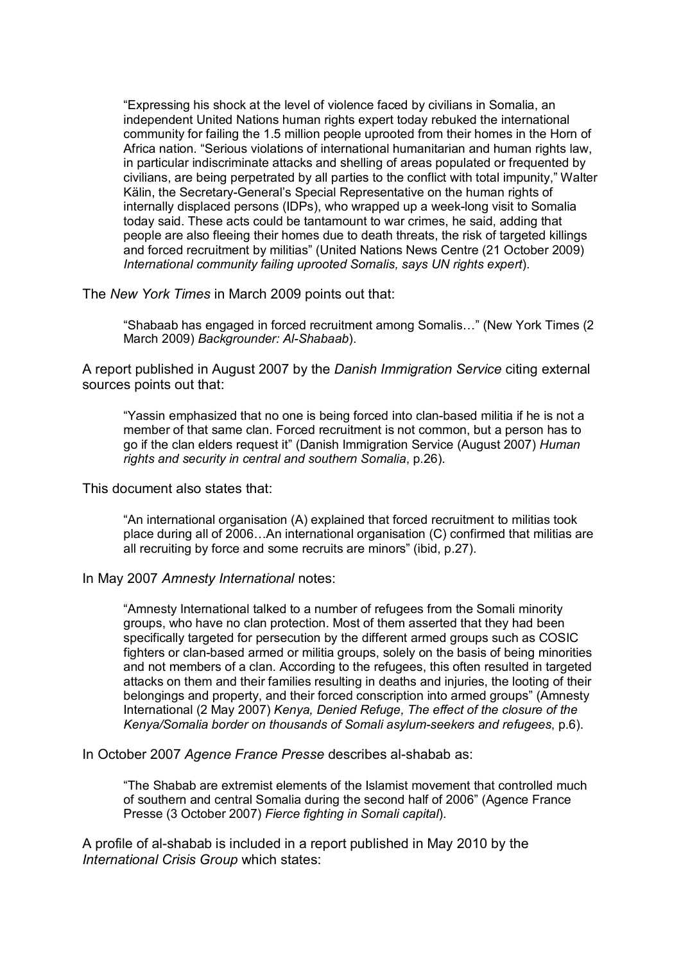"Expressing his shock at the level of violence faced by civilians in Somalia, an independent United Nations human rights expert today rebuked the international community for failing the 1.5 million people uprooted from their homes in the Horn of Africa nation. "Serious violations of international humanitarian and human rights law, in particular indiscriminate attacks and shelling of areas populated or frequented by civilians, are being perpetrated by all parties to the conflict with total impunity," Walter Kälin, the Secretary-General's Special Representative on the human rights of internally displaced persons (IDPs), who wrapped up a week-long visit to Somalia today said. These acts could be tantamount to war crimes, he said, adding that people are also fleeing their homes due to death threats, the risk of targeted killings and forced recruitment by militias" (United Nations News Centre (21 October 2009) *International community failing uprooted Somalis, says UN rights expert*).

The *New York Times* in March 2009 points out that:

"Shabaab has engaged in forced recruitment among Somalis…" (New York Times (2 March 2009) *Backgrounder: Al-Shabaab*).

A report published in August 2007 by the *Danish Immigration Service* citing external sources points out that:

"Yassin emphasized that no one is being forced into clan-based militia if he is not a member of that same clan. Forced recruitment is not common, but a person has to go if the clan elders request it" (Danish Immigration Service (August 2007) *Human rights and security in central and southern Somalia*, p.26).

This document also states that:

"An international organisation (A) explained that forced recruitment to militias took place during all of 2006…An international organisation (C) confirmed that militias are all recruiting by force and some recruits are minors" (ibid, p.27).

In May 2007 *Amnesty International* notes:

"Amnesty International talked to a number of refugees from the Somali minority groups, who have no clan protection. Most of them asserted that they had been specifically targeted for persecution by the different armed groups such as COSIC fighters or clan-based armed or militia groups, solely on the basis of being minorities and not members of a clan. According to the refugees, this often resulted in targeted attacks on them and their families resulting in deaths and injuries, the looting of their belongings and property, and their forced conscription into armed groups" (Amnesty International (2 May 2007) *Kenya, Denied Refuge, The effect of the closure of the Kenya/Somalia border on thousands of Somali asylum-seekers and refugees*, p.6).

In October 2007 *Agence France Presse* describes al-shabab as:

"The Shabab are extremist elements of the Islamist movement that controlled much of southern and central Somalia during the second half of 2006" (Agence France Presse (3 October 2007) *Fierce fighting in Somali capital*).

A profile of al-shabab is included in a report published in May 2010 by the *International Crisis Group* which states: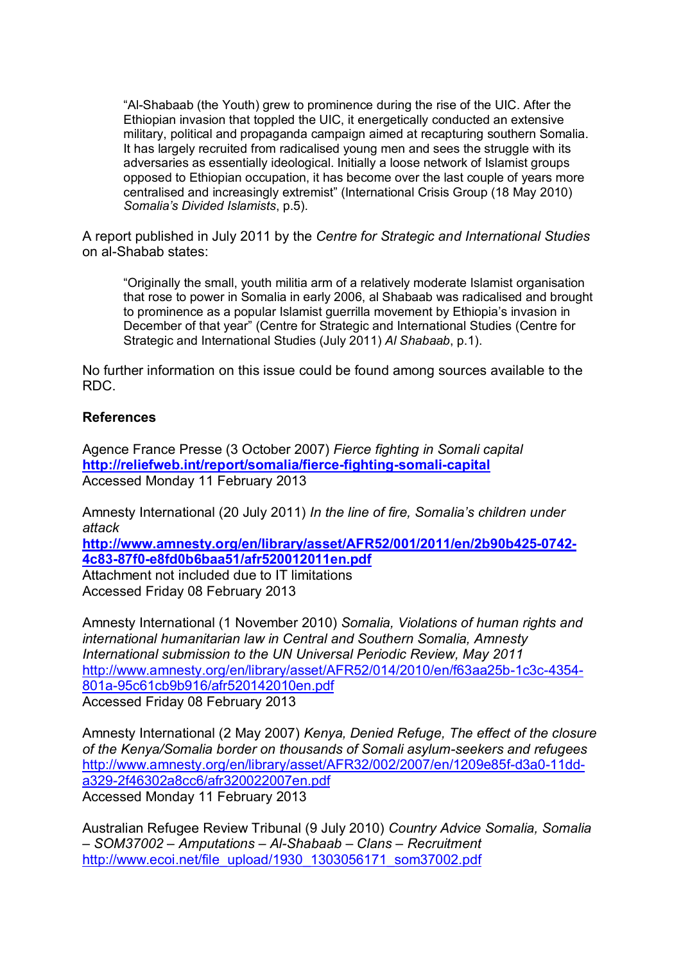"Al-Shabaab (the Youth) grew to prominence during the rise of the UIC. After the Ethiopian invasion that toppled the UIC, it energetically conducted an extensive military, political and propaganda campaign aimed at recapturing southern Somalia. It has largely recruited from radicalised young men and sees the struggle with its adversaries as essentially ideological. Initially a loose network of Islamist groups opposed to Ethiopian occupation, it has become over the last couple of years more centralised and increasingly extremist" (International Crisis Group (18 May 2010) *Somalia's Divided Islamists*, p.5).

A report published in July 2011 by the *Centre for Strategic and International Studies*  on al-Shabab states:

"Originally the small, youth militia arm of a relatively moderate Islamist organisation that rose to power in Somalia in early 2006, al Shabaab was radicalised and brought to prominence as a popular Islamist guerrilla movement by Ethiopia's invasion in December of that year" (Centre for Strategic and International Studies (Centre for Strategic and International Studies (July 2011) *Al Shabaab*, p.1).

No further information on this issue could be found among sources available to the RDC.

## **References**

Agence France Presse (3 October 2007) *Fierce fighting in Somali capital*  **http://reliefweb.int/report/somalia/fierce-fighting-somali-capital** Accessed Monday 11 February 2013

Amnesty International (20 July 2011) *In the line of fire, Somalia's children under attack* 

**http://www.amnesty.org/en/library/asset/AFR52/001/2011/en/2b90b425-0742- 4c83-87f0-e8fd0b6baa51/afr520012011en.pdf**

Attachment not included due to IT limitations Accessed Friday 08 February 2013

Amnesty International (1 November 2010) *Somalia, Violations of human rights and international humanitarian law in Central and Southern Somalia, Amnesty International submission to the UN Universal Periodic Review, May 2011*  http://www.amnesty.org/en/library/asset/AFR52/014/2010/en/f63aa25b-1c3c-4354- 801a-95c61cb9b916/afr520142010en.pdf Accessed Friday 08 February 2013

Amnesty International (2 May 2007) *Kenya, Denied Refuge, The effect of the closure of the Kenya/Somalia border on thousands of Somali asylum-seekers and refugees*  http://www.amnesty.org/en/library/asset/AFR32/002/2007/en/1209e85f-d3a0-11dda329-2f46302a8cc6/afr320022007en.pdf Accessed Monday 11 February 2013

Australian Refugee Review Tribunal (9 July 2010) *Country Advice Somalia, Somalia – SOM37002 – Amputations – Al-Shabaab – Clans – Recruitment*  http://www.ecoi.net/file\_upload/1930\_1303056171\_som37002.pdf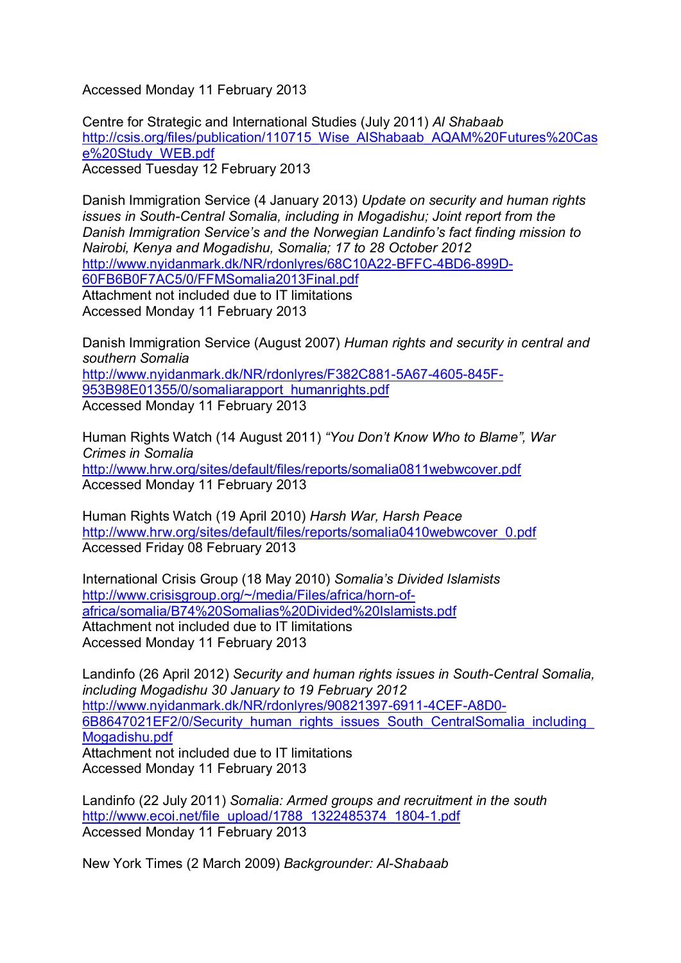Accessed Monday 11 February 2013

Centre for Strategic and International Studies (July 2011) *Al Shabaab*  http://csis.org/files/publication/110715 Wise AlShabaab AQAM%20Futures%20Cas e%20Study\_WEB.pdf Accessed Tuesday 12 February 2013

Danish Immigration Service (4 January 2013) *Update on security and human rights issues in South-Central Somalia, including in Mogadishu; Joint report from the Danish Immigration Service's and the Norwegian Landinfo's fact finding mission to Nairobi, Kenya and Mogadishu, Somalia; 17 to 28 October 2012*  http://www.nyidanmark.dk/NR/rdonlyres/68C10A22-BFFC-4BD6-899D-60FB6B0F7AC5/0/FFMSomalia2013Final.pdf Attachment not included due to IT limitations Accessed Monday 11 February 2013

Danish Immigration Service (August 2007) *Human rights and security in central and southern Somalia*  http://www.nyidanmark.dk/NR/rdonlyres/F382C881-5A67-4605-845F-953B98E01355/0/somaliarapport\_humanrights.pdf Accessed Monday 11 February 2013

Human Rights Watch (14 August 2011) *"You Don't Know Who to Blame", War Crimes in Somalia*  http://www.hrw.org/sites/default/files/reports/somalia0811webwcover.pdf Accessed Monday 11 February 2013

Human Rights Watch (19 April 2010) *Harsh War, Harsh Peace*  http://www.hrw.org/sites/default/files/reports/somalia0410webwcover\_0.pdf Accessed Friday 08 February 2013

International Crisis Group (18 May 2010) *Somalia's Divided Islamists*  http://www.crisisgroup.org/~/media/Files/africa/horn-ofafrica/somalia/B74%20Somalias%20Divided%20Islamists.pdf Attachment not included due to IT limitations Accessed Monday 11 February 2013

Landinfo (26 April 2012) *Security and human rights issues in South-Central Somalia, including Mogadishu 30 January to 19 February 2012*  http://www.nyidanmark.dk/NR/rdonlyres/90821397-6911-4CEF-A8D0- 6B8647021EF2/0/Security\_human\_rights\_issues\_South\_CentralSomalia\_including\_ Mogadishu.pdf Attachment not included due to IT limitations Accessed Monday 11 February 2013

Landinfo (22 July 2011) *Somalia: Armed groups and recruitment in the south*  http://www.ecoi.net/file\_upload/1788\_1322485374\_1804-1.pdf Accessed Monday 11 February 2013

New York Times (2 March 2009) *Backgrounder: Al-Shabaab*